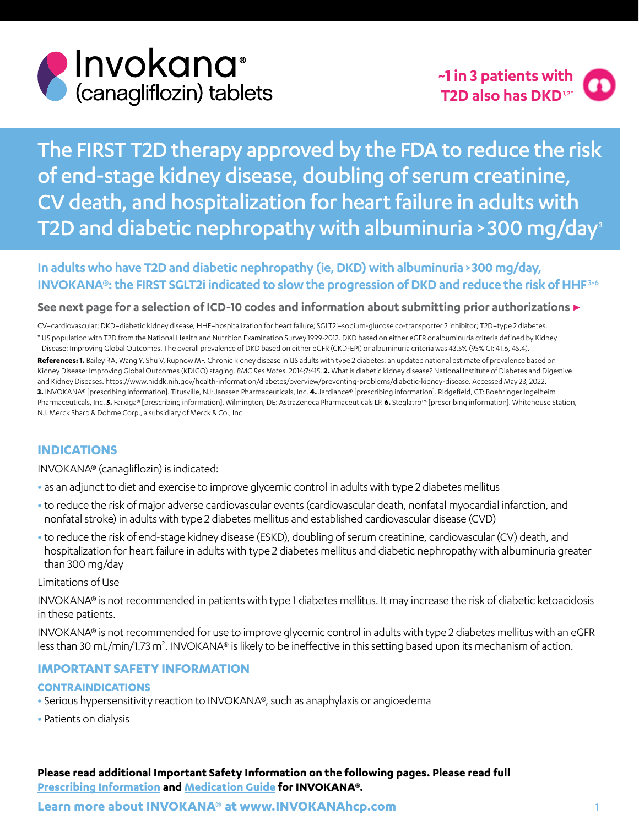



The FIRST T2D therapy approved by the FDA to reduce the risk of end-stage kidney disease, doubling of serum creatinine, CV death, and hospitalization for heart failure in adults with T2D and diabetic nephropathy with albuminuria  $>$  300 mg/day $^3$ 

# **In adults who have T2D and diabetic nephropathy (ie, DKD) with albuminuria > 300 mg/day, INVOKANA®: the FIRST SGLT2i indicated to slow the progression of DKD and reduce the risk of HHF<sup>3-6</sup>**

# **See next page for a selection of ICD-10 codes and information about submitting prior authorizations** ▶

CV=cardiovascular; DKD=diabetic kidney disease; HHF=hospitalization for heart failure; SGLT2i=sodium-glucose co-transporter 2 inhibitor; T2D=type 2 diabetes. \* US population with T2D from the National Health and Nutrition Examination Survey 1999-2012. DKD based on either eGFR or albuminuria criteria defined by Kidney Disease: Improving Global Outcomes. The overall prevalence of DKD based on either eGFR (CKD-EPI) or albuminuria criteria was 43.5% (95% CI: 41.6, 45.4).

**References: 1.** Bailey RA, Wang Y, Shu V, Rupnow MF. Chronic kidney disease in US adults with type 2 diabetes: an updated national estimate of prevalence based on Kidney Disease: Improving Global Outcomes (KDIGO) staging. *BMC Res Notes.* 2014;7:415. **2.** What is diabetic kidney disease? National Institute of Diabetes and Digestive and Kidney Diseases. https://www.niddk.nih.gov/health-information/diabetes/overview/preventing-problems/diabetic-kidney-disease. Accessed May 23, 2022. **3.** INVOKANA® [prescribing information]. Titusville, NJ: Janssen Pharmaceuticals, Inc. **4.** Jardiance® [prescribing information]. Ridgefield, CT: Boehringer Ingelheim Pharmaceuticals, Inc. **5.** Farxiga® [prescribing information]. Wilmington, DE: AstraZeneca Pharmaceuticals LP. **6.** Steglatro™ [prescribing information]. Whitehouse Station, NJ. Merck Sharp & Dohme Corp., a subsidiary of Merck & Co., Inc.

# **INDICATIONS**

INVOKANA® (canagliflozin) is indicated:

- **•** as an adjunct to diet and exercise to improve glycemic control in adults with type 2 diabetes mellitus
- **•** to reduce the risk of major adverse cardiovascular events (cardiovascular death, nonfatal myocardial infarction, and nonfatal stroke) in adults with type 2 diabetes mellitus and established cardiovascular disease (CVD)
- **•** to reduce the risk of end-stage kidney disease (ESKD), doubling of serum creatinine, cardiovascular (CV) death, and hospitalization for heart failure in adults with type 2 diabetes mellitus and diabetic nephropathy with albuminuria greater than 300 mg/day

# Limitations of Use

INVOKANA® is not recommended in patients with type 1 diabetes mellitus. It may increase the risk of diabetic ketoacidosis in these patients.

INVOKANA® is not recommended for use to improve glycemic control in adults with type 2 diabetes mellitus with an eGFR less than 30 mL/min/1.73 m<sup>2</sup>. INVOKANA® is likely to be ineffective in this setting based upon its mechanism of action.

# **IMPORTANT SAFETY INFORMATION**

### **CONTRAINDICATIONS**

- **•** Serious hypersensitivity reaction to INVOKANA®, such as anaphylaxis or angioedema
- **•** Patients on dialysis

# **Please read additional Important Safety Information on the following pages. Please read full**

**[Prescribing Information](http://www.janssenlabels.com/package-insert/product-monograph/prescribing-information/INVOKANA-pi.pdf) and [Medication Guide](http://www.janssenlabels.com/package-insert/product-patient-information/INVOKANA-medication-guide.pdf) for INVOKANA®.**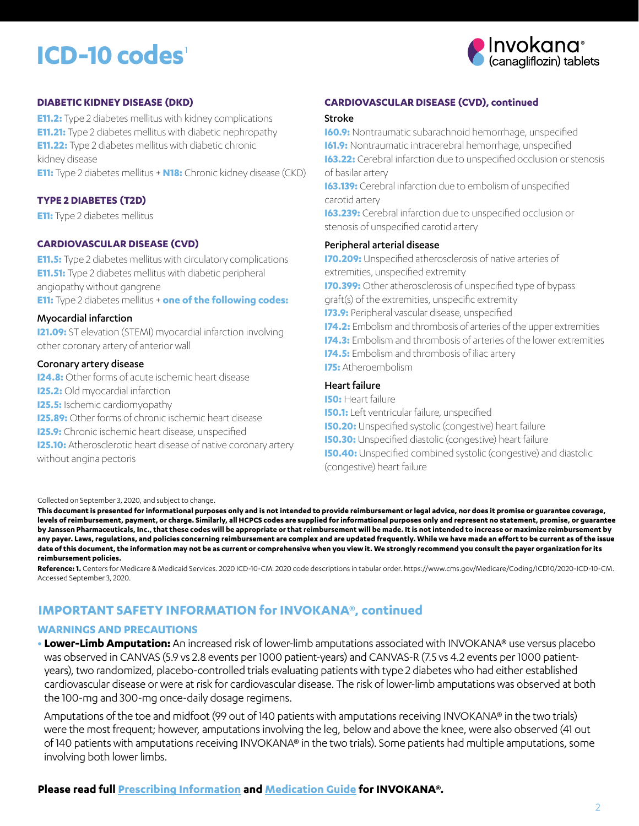# **ICD-10 codes**



# **DIABETIC KIDNEY DISEASE (DKD)**

**E11.2:** Type 2 diabetes mellitus with kidney complications **E11.21:** Type 2 diabetes mellitus with diabetic nephropathy **E11.22:** Type 2 diabetes mellitus with diabetic chronic kidney disease

**E11:** Type 2 diabetes mellitus + **N18:** Chronic kidney disease (CKD)

## **TYPE 2 DIABETES (T2D)**

**E11:** Type 2 diabetes mellitus

## **CARDIOVASCULAR DISEASE (CVD)**

**E11.5:** Type 2 diabetes mellitus with circulatory complications **E11.51:** Type 2 diabetes mellitus with diabetic peripheral angiopathy without gangrene

**E11:** Type 2 diabetes mellitus + **one of the following codes:** 

### Myocardial infarction

**I21.09:** ST elevation (STEMI) myocardial infarction involving other coronary artery of anterior wall

### Coronary artery disease

**I24.8:** Other forms of acute ischemic heart disease **I25.2:** Old myocardial infarction **I25.5:** Ischemic cardiomyopathy **I25.89:** Other forms of chronic ischemic heart disease **I25.9:** Chronic ischemic heart disease, unspecified **I25.10:** Atherosclerotic heart disease of native coronary artery without angina pectoris

# **CARDIOVASCULAR DISEASE (CVD), continued**

### Stroke

**I60.9:** Nontraumatic subarachnoid hemorrhage, unspecified **I61.9:** Nontraumatic intracerebral hemorrhage, unspecified **I63.22:** Cerebral infarction due to unspecified occlusion or stenosis of basilar artery

**I63.139:** Cerebral infarction due to embolism of unspecified carotid artery

**I63.239:** Cerebral infarction due to unspecified occlusion or stenosis of unspecified carotid artery

## Peripheral arterial disease

**I70.209:** Unspecified atherosclerosis of native arteries of extremities, unspecified extremity **I70.399:** Other atherosclerosis of unspecified type of bypass graft(s) of the extremities, unspecific extremity **I73.9:** Peripheral vascular disease, unspecified **I74.2:** Embolism and thrombosis of arteries of the upper extremities **I74.3:** Embolism and thrombosis of arteries of the lower extremities **I74.5:** Embolism and thrombosis of iliac artery **I75:** Atheroembolism

# Heart failure

**I50:** Heart failure **I50.1:** Left ventricular failure, unspecified **I50.20:** Unspecified systolic (congestive) heart failure **I50.30:** Unspecified diastolic (congestive) heart failure **I50.40:** Unspecified combined systolic (congestive) and diastolic (congestive) heart failure

#### Collected on September 3, 2020, and subject to change.

**This document is presented for informational purposes only and is not intended to provide reimbursement or legal advice, nor does it promise or guarantee coverage, levels of reimbursement, payment, or charge. Similarly, all HCPCS codes are supplied for informational purposes only and represent no statement, promise, or guarantee by Janssen Pharmaceuticals, Inc., that these codes will be appropriate or that reimbursement will be made. It is not intended to increase or maximize reimbursement by any payer. Laws, regulations, and policies concerning reimbursement are complex and are updated frequently. While we have made an effort to be current as of the issue date of this document, the information may not be as current or comprehensive when you view it. We strongly recommend you consult the payer organization for its reimbursement policies.** 

**Reference: 1.** Centers for Medicare & Medicaid Services. 2020 ICD-10-CM: 2020 code descriptions in tabular order. https://www.cms.gov/Medicare/Coding/ICD10/2020-ICD-10-CM. Accessed September 3, 2020.

# **IMPORTANT SAFETY INFORMATION for INVOKANA®, continued**

#### **WARNINGS AND PRECAUTIONS**

**• Lower-Limb Amputation:** An increased risk of lower-limb amputations associated with INVOKANA® use versus placebo was observed in CANVAS (5.9 vs 2.8 events per 1000 patient-years) and CANVAS-R (7.5 vs 4.2 events per 1000 patientyears), two randomized, placebo-controlled trials evaluating patients with type 2 diabetes who had either established cardiovascular disease or were at risk for cardiovascular disease. The risk of lower-limb amputations was observed at both the 100-mg and 300-mg once-daily dosage regimens.

Amputations of the toe and midfoot (99 out of 140 patients with amputations receiving INVOKANA® in the two trials) were the most frequent; however, amputations involving the leg, below and above the knee, were also observed (41 out of 140 patients with amputations receiving INVOKANA® in the two trials). Some patients had multiple amputations, some involving both lower limbs.

**Please read full [Prescribing Information](http://www.janssenlabels.com/package-insert/product-monograph/prescribing-information/INVOKANA-pi.pdf) and [Medication Guide](http://www.janssenlabels.com/package-insert/product-patient-information/INVOKANA-medication-guide.pdf) for INVOKANA®.**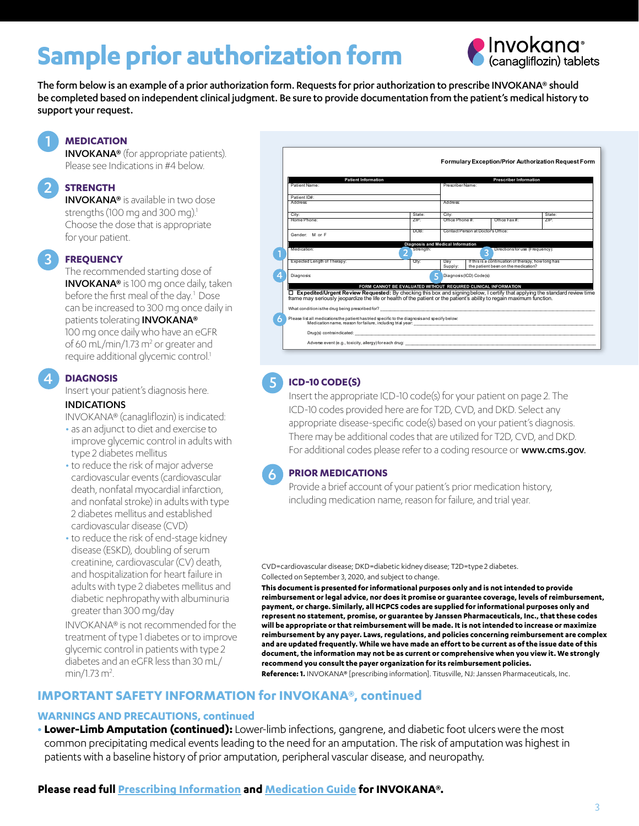# **Sample prior authorization form**



The form below is an example of a prior authorization form. Requests for prior authorization to prescribe INVOKANA® should be completed based on independent clinical judgment. Be sure to provide documentation from the patient's medical history to support your request.

# 1

**MEDICATION**

INVOKANA® (for appropriate patients). Please see Indications in #4 below.

#### **STRENGTH** 2

INVOKANA® is available in two dose strengths (100 mg and 300 mg).<sup>1</sup> Choose the dose that is appropriate for your patient.

#### **FREQUENCY**  3

The recommended starting dose of INVOKANA® is 100 mg once daily, taken before the first meal of the day.<sup>1</sup> Dose can be increased to 300 mg once daily in patients tolerating INVOKANA® 100 mg once daily who have an eGFR of 60 mL/min/1.73 m<sup>2</sup> or greater and require additional glycemic control.<sup>1</sup>

#### **DIAGNOSIS** 4

Insert your patient's diagnosis here.

# INDICATIONS

- INVOKANA® (canagliflozin) is indicated: • as an adjunct to diet and exercise to improve glycemic control in adults with type 2 diabetes mellitus
- to reduce the risk of major adverse cardiovascular events (cardiovascular death, nonfatal myocardial infarction, and nonfatal stroke) in adults with type 2 diabetes mellitus and established cardiovascular disease (CVD)
- to reduce the risk of end-stage kidney disease (ESKD), doubling of serum creatinine, cardiovascular (CV) death, and hospitalization for heart failure in adults with type 2 diabetes mellitus and diabetic nephropathy with albuminuria greater than 300 mg/day

INVOKANA® is not recommended for the treatment of type 1 diabetes or to improve glycemic control in patients with type 2 diabetes and an eGFR less than 30 mL/  $min/1.73$  m<sup>2</sup>. .



#### **ICD-10 CODE(S)** and recommended or are contrained or are contrained or are contrained or are contrained or are contrained based on published guidelines or are contrained based on published guidelines or are contrained bas  $\overline{a}$  is so please provide documentation. 5

\_\_\_\_\_\_\_\_\_\_\_\_\_\_\_\_\_\_\_\_\_\_\_\_\_\_\_\_\_\_\_\_\_\_\_\_\_\_\_\_\_\_\_\_\_\_\_\_\_\_\_\_\_\_\_\_\_\_\_\_\_\_\_\_\_\_\_\_\_\_\_\_\_\_\_\_\_\_\_\_\_\_\_\_\_\_\_\_\_\_\_\_\_\_\_\_\_\_\_\_\_\_\_\_\_\_\_\_\_\_\_\_\_\_\_\_\_\_\_\_\_\_\_\_\_\_\_\_\_\_ Insert the appropriate ICD-10 code(s) for your patient on page 2. The ICD-10 codes provided here are for T2D, CVD, and DKD. Select any provide documentation:  $\mathcal{L}_\text{max}$  and  $\mathcal{L}_\text{max}$  and  $\mathcal{L}_\text{max}$  and  $\mathcal{L}_\text{max}$  and  $\mathcal{L}_\text{max}$ appropriate disease-specific code(s) based on your patient's diagnosis. There may be additional codes that are utilized for T2D, CVD, and DKD. PLEASE COMPLETE CORRESPONDING SECTION ON PAGE 2 FOR THE SPECIFIC DRUGS/CLASSES LISTED. For additional codes please refer to a coding resource or www.cms.gov.

#### 6 **PRIOR MEDICATIONS**

Provide a brief account of your patient's prior medication history, to civ il penalties and treble damages under both the federal and state False Claims Acts. *See, e.g.*, 31 U.S.C. §§ 3729-3733. **Date**: including medication name, reason for failure, and trial year.

CVD=cardiovascular disease; DKD=diabetic kidney disease; T2D=type 2 diabetes. Collected on September 3, 2020, and subject to change.

**This document is presented for informational purposes only and is not intended to provide reimbursement or legal advice, nor does it promise or guarantee coverage, levels of reimbursement, payment, or charge. Similarly, all HCPCS codes are supplied for informational purposes only and represent no statement, promise, or guarantee by Janssen Pharmaceuticals, Inc., that these codes will be appropriate or that reimbursement will be made. It is not intended to increase or maximize reimbursement by any payer. Laws, regulations, and policies concerning reimbursement are complex and are updated frequently. While we have made an effort to be current as of the issue date of this document, the information may not be as current or comprehensive when you view it. We strongly recommend you consult the payer organization for its reimbursement policies.**

**Reference: 1.** INVOKANA® [prescribing information]. Titusville, NJ: Janssen Pharmaceuticals, Inc.

# **IMPORTANT SAFETY INFORMATION for INVOKANA®, continued**

# **WARNINGS AND PRECAUTIONS, continued**

**• Lower-Limb Amputation (continued):** Lower-limb infections, gangrene, and diabetic foot ulcers were the most common precipitating medical events leading to the need for an amputation. The risk of amputation was highest in patients with a baseline history of prior amputation, peripheral vascular disease, and neuropathy.

# **Please read full [Prescribing Information](http://www.janssenlabels.com/package-insert/product-monograph/prescribing-information/INVOKANA-pi.pdf) and [Medication Guide](http://www.janssenlabels.com/package-insert/product-patient-information/INVOKANA-medication-guide.pdf) for INVOKANA®.**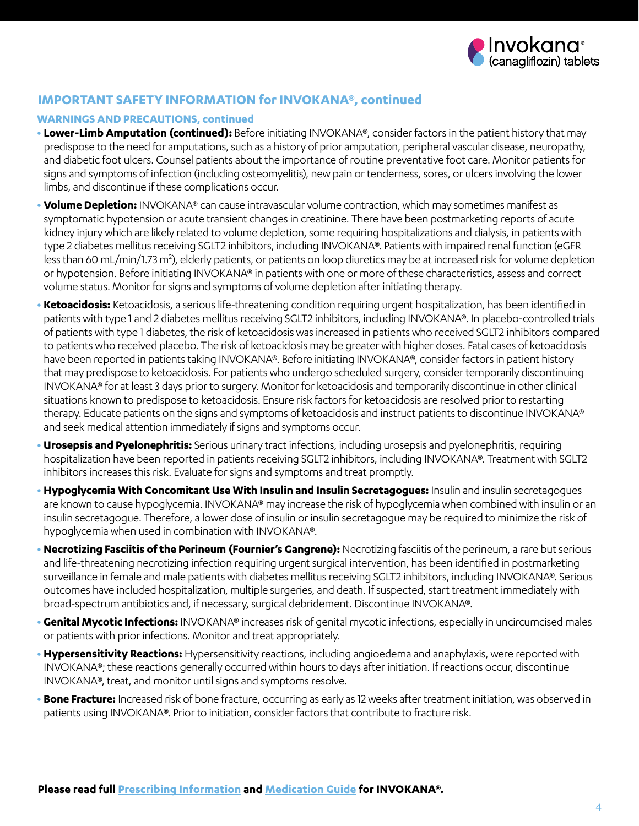

# **IMPORTANT SAFETY INFORMATION for INVOKANA®, continued**

# **WARNINGS AND PRECAUTIONS, continued**

- **• Lower-Limb Amputation (continued):** Before initiating INVOKANA®, consider factors in the patient history that may predispose to the need for amputations, such as a history of prior amputation, peripheral vascular disease, neuropathy, and diabetic foot ulcers. Counsel patients about the importance of routine preventative foot care. Monitor patients for signs and symptoms of infection (including osteomyelitis), new pain or tenderness, sores, or ulcers involving the lower limbs, and discontinue if these complications occur.
- **• Volume Depletion:** INVOKANA® can cause intravascular volume contraction, which may sometimes manifest as symptomatic hypotension or acute transient changes in creatinine. There have been postmarketing reports of acute kidney injury which are likely related to volume depletion, some requiring hospitalizations and dialysis, in patients with type 2 diabetes mellitus receiving SGLT2 inhibitors, including INVOKANA®. Patients with impaired renal function (eGFR less than 60 mL/min/1.73 m<sup>2</sup>), elderly patients, or patients on loop diuretics may be at increased risk for volume depletion or hypotension. Before initiating INVOKANA® in patients with one or more of these characteristics, assess and correct volume status. Monitor for signs and symptoms of volume depletion after initiating therapy.
- **• Ketoacidosis:** Ketoacidosis, a serious life-threatening condition requiring urgent hospitalization, has been identified in patients with type 1 and 2 diabetes mellitus receiving SGLT2 inhibitors, including INVOKANA®. In placebo-controlled trials of patients with type 1 diabetes, the risk of ketoacidosis was increased in patients who received SGLT2 inhibitors compared to patients who received placebo. The risk of ketoacidosis may be greater with higher doses. Fatal cases of ketoacidosis have been reported in patients taking INVOKANA®. Before initiating INVOKANA®, consider factors in patient history that may predispose to ketoacidosis. For patients who undergo scheduled surgery, consider temporarily discontinuing INVOKANA® for at least 3 days prior to surgery. Monitor for ketoacidosis and temporarily discontinue in other clinical situations known to predispose to ketoacidosis. Ensure risk factors for ketoacidosis are resolved prior to restarting therapy. Educate patients on the signs and symptoms of ketoacidosis and instruct patients to discontinue INVOKANA® and seek medical attention immediately if signs and symptoms occur.
- **• Urosepsis and Pyelonephritis:** Serious urinary tract infections, including urosepsis and pyelonephritis, requiring hospitalization have been reported in patients receiving SGLT2 inhibitors, including INVOKANA®. Treatment with SGLT2 inhibitors increases this risk. Evaluate for signs and symptoms and treat promptly.
- **• Hypoglycemia With Concomitant Use With Insulin and Insulin Secretagogues:** Insulin and insulin secretagogues are known to cause hypoglycemia. INVOKANA® may increase the risk of hypoglycemia when combined with insulin or an insulin secretagogue. Therefore, a lower dose of insulin or insulin secretagogue may be required to minimize the risk of hypoglycemia when used in combination with INVOKANA®.
- **• Necrotizing Fasciitis of the Perineum (Fournier's Gangrene):** Necrotizing fasciitis of the perineum, a rare but serious and life-threatening necrotizing infection requiring urgent surgical intervention, has been identified in postmarketing surveillance in female and male patients with diabetes mellitus receiving SGLT2 inhibitors, including INVOKANA®. Serious outcomes have included hospitalization, multiple surgeries, and death. If suspected, start treatment immediately with broad-spectrum antibiotics and, if necessary, surgical debridement. Discontinue INVOKANA®.
- **• Genital Mycotic Infections:** INVOKANA® increases risk of genital mycotic infections, especially in uncircumcised males or patients with prior infections. Monitor and treat appropriately.
- **• Hypersensitivity Reactions:** Hypersensitivity reactions, including angioedema and anaphylaxis, were reported with INVOKANA®; these reactions generally occurred within hours to days after initiation. If reactions occur, discontinue INVOKANA®, treat, and monitor until signs and symptoms resolve.
- **• Bone Fracture:** Increased risk of bone fracture, occurring as early as 12 weeks after treatment initiation, was observed in patients using INVOKANA®. Prior to initiation, consider factors that contribute to fracture risk.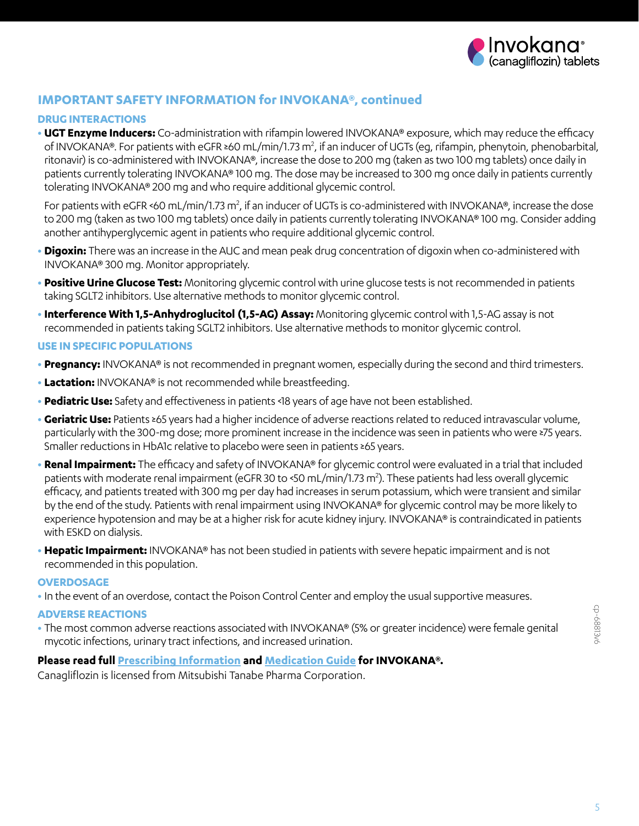

# **IMPORTANT SAFETY INFORMATION for INVOKANA®, continued**

# **DRUG INTERACTIONS**

**• UGT Enzyme Inducers:** Co-administration with rifampin lowered INVOKANA® exposure, which may reduce the efficacy of INVOKANA®. For patients with eGFR ≥60 mL/min/1.73 m<sup>2</sup>, if an inducer of UGTs (eg, rifampin, phenytoin, phenobarbital, ritonavir) is co-administered with INVOKANA®, increase the dose to 200 mg (taken as two 100 mg tablets) once daily in patients currently tolerating INVOKANA® 100 mg. The dose may be increased to 300 mg once daily in patients currently tolerating INVOKANA® 200 mg and who require additional glycemic control.

For patients with eGFR <60 mL/min/1.73 m<sup>2</sup>, if an inducer of UGTs is co-administered with INVOKANA®, increase the dose to 200 mg (taken as two 100 mg tablets) once daily in patients currently tolerating INVOKANA® 100 mg. Consider adding another antihyperglycemic agent in patients who require additional glycemic control.

- **• Digoxin:** There was an increase in the AUC and mean peak drug concentration of digoxin when co-administered with INVOKANA® 300 mg. Monitor appropriately.
- **• Positive Urine Glucose Test:** Monitoring glycemic control with urine glucose tests is not recommended in patients taking SGLT2 inhibitors. Use alternative methods to monitor glycemic control.
- **• Interference With 1,5-Anhydroglucitol (1,5-AG) Assay:** Monitoring glycemic control with 1,5-AG assay is not recommended in patients taking SGLT2 inhibitors. Use alternative methods to monitor glycemic control.

# **USE IN SPECIFIC POPULATIONS**

- **• Pregnancy:** INVOKANA® is not recommended in pregnant women, especially during the second and third trimesters.
- **• Lactation:** INVOKANA® is not recommended while breastfeeding.
- **• Pediatric Use:** Safety and effectiveness in patients <18 years of age have not been established.
- **• Geriatric Use:** Patients ≥65 years had a higher incidence of adverse reactions related to reduced intravascular volume, particularly with the 300-mg dose; more prominent increase in the incidence was seen in patients who were ≥75 years. Smaller reductions in HbA1c relative to placebo were seen in patients ≥65 years.
- **• Renal Impairment:** The efficacy and safety of INVOKANA® for glycemic control were evaluated in a trial that included patients with moderate renal impairment (eGFR 30 to <50 mL/min/1.73 m<sup>2</sup>). These patients had less overall glycemic efficacy, and patients treated with 300 mg per day had increases in serum potassium, which were transient and similar by the end of the study. Patients with renal impairment using INVOKANA® for glycemic control may be more likely to experience hypotension and may be at a higher risk for acute kidney injury. INVOKANA® is contraindicated in patients with ESKD on dialysis.
- **• Hepatic Impairment:** INVOKANA® has not been studied in patients with severe hepatic impairment and is not recommended in this population.

### **OVERDOSAGE**

**•** In the event of an overdose, contact the Poison Control Center and employ the usual supportive measures.

# **ADVERSE REACTIONS**

**•** The most common adverse reactions associated with INVOKANA® (5% or greater incidence) were female genital mycotic infections, urinary tract infections, and increased urination.

# **Please read full [Prescribing Information](http://www.janssenlabels.com/package-insert/product-monograph/prescribing-information/INVOKANA-pi.pdf) and [Medication Guide](http://www.janssenlabels.com/package-insert/product-patient-information/INVOKANA-medication-guide.pdf) for INVOKANA®.**

Canagliflozin is licensed from Mitsubishi Tanabe Pharma Corporation.